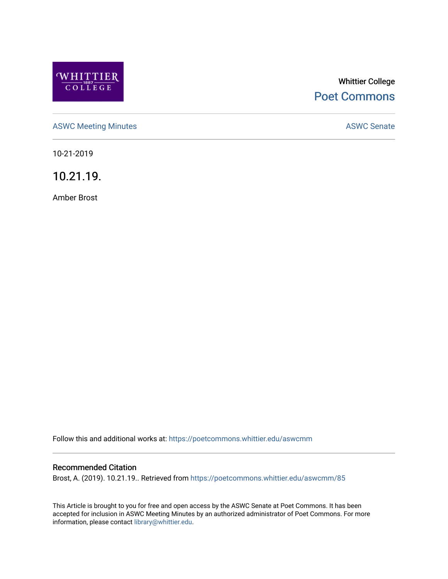

# Whittier College [Poet Commons](https://poetcommons.whittier.edu/)

[ASWC Meeting Minutes](https://poetcommons.whittier.edu/aswcmm) **ASWC Senate** 

10-21-2019

10.21.19.

Amber Brost

Follow this and additional works at: [https://poetcommons.whittier.edu/aswcmm](https://poetcommons.whittier.edu/aswcmm?utm_source=poetcommons.whittier.edu%2Faswcmm%2F85&utm_medium=PDF&utm_campaign=PDFCoverPages)

#### Recommended Citation

Brost, A. (2019). 10.21.19.. Retrieved from [https://poetcommons.whittier.edu/aswcmm/85](https://poetcommons.whittier.edu/aswcmm/85?utm_source=poetcommons.whittier.edu%2Faswcmm%2F85&utm_medium=PDF&utm_campaign=PDFCoverPages)

This Article is brought to you for free and open access by the ASWC Senate at Poet Commons. It has been accepted for inclusion in ASWC Meeting Minutes by an authorized administrator of Poet Commons. For more information, please contact [library@whittier.edu.](mailto:library@whittier.edu)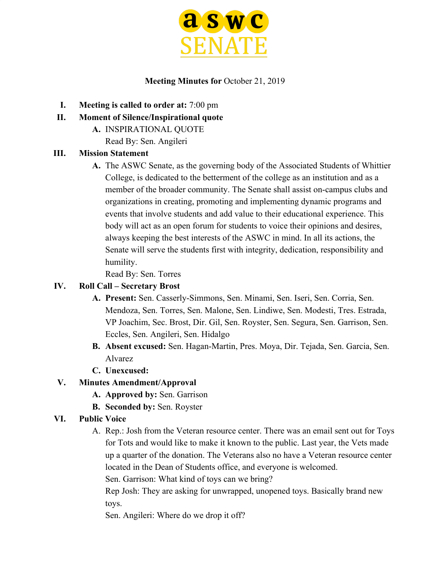

#### **Meeting Minutes for** October 21, 2019

- **I. Meeting is called to order at:** 7:00 pm
- **II. Moment of Silence/Inspirational quote**
	- **A.** INSPIRATIONAL QUOTE

Read By: Sen. Angileri

### **III. Mission Statement**

**A.** The ASWC Senate, as the governing body of the Associated Students of Whittier College, is dedicated to the betterment of the college as an institution and as a member of the broader community. The Senate shall assist on-campus clubs and organizations in creating, promoting and implementing dynamic programs and events that involve students and add value to their educational experience. This body will act as an open forum for students to voice their opinions and desires, always keeping the best interests of the ASWC in mind. In all its actions, the Senate will serve the students first with integrity, dedication, responsibility and humility.

Read By: Sen. Torres

### **IV. Roll Call – Secretary Brost**

- **A. Present:** Sen. Casserly-Simmons, Sen. Minami, Sen. Iseri, Sen. Corria, Sen. Mendoza, Sen. Torres, Sen. Malone, Sen. Lindiwe, Sen. Modesti, Tres. Estrada, VP Joachim, Sec. Brost, Dir. Gil, Sen. Royster, Sen. Segura, Sen. Garrison, Sen. Eccles, Sen. Angileri, Sen. Hidalgo
- **B. Absent excused:** Sen. Hagan-Martin, Pres. Moya, Dir. Tejada, Sen. Garcia, Sen. Alvarez
- **C. Unexcused:**

# **V. Minutes Amendment/Approval**

- **A. Approved by:** Sen. Garrison
- **B. Seconded by:** Sen. Royster

# **VI. Public Voice**

A. Rep.: Josh from the Veteran resource center. There was an email sent out for Toys for Tots and would like to make it known to the public. Last year, the Vets made up a quarter of the donation. The Veterans also no have a Veteran resource center located in the Dean of Students office, and everyone is welcomed.

Sen. Garrison: What kind of toys can we bring?

Rep Josh: They are asking for unwrapped, unopened toys. Basically brand new toys.

Sen. Angileri: Where do we drop it off?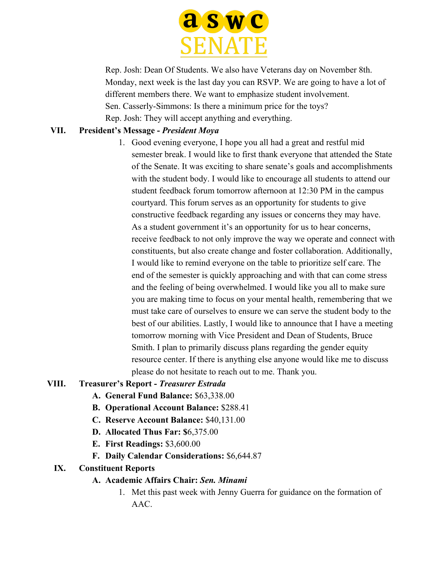

Rep. Josh: Dean Of Students. We also have Veterans day on November 8th. Monday, next week is the last day you can RSVP. We are going to have a lot of different members there. We want to emphasize student involvement. Sen. Casserly-Simmons: Is there a minimum price for the toys? Rep. Josh: They will accept anything and everything.

### **VII. President's Message -** *President Moya*

1. Good evening everyone, I hope you all had a great and restful mid semester break. I would like to first thank everyone that attended the State of the Senate. It was exciting to share senate's goals and accomplishments with the student body. I would like to encourage all students to attend our student feedback forum tomorrow afternoon at 12:30 PM in the campus courtyard. This forum serves as an opportunity for students to give constructive feedback regarding any issues or concerns they may have. As a student government it's an opportunity for us to hear concerns, receive feedback to not only improve the way we operate and connect with constituents, but also create change and foster collaboration. Additionally, I would like to remind everyone on the table to prioritize self care. The end of the semester is quickly approaching and with that can come stress and the feeling of being overwhelmed. I would like you all to make sure you are making time to focus on your mental health, remembering that we must take care of ourselves to ensure we can serve the student body to the best of our abilities. Lastly, I would like to announce that I have a meeting tomorrow morning with Vice President and Dean of Students, Bruce Smith. I plan to primarily discuss plans regarding the gender equity resource center. If there is anything else anyone would like me to discuss please do not hesitate to reach out to me. Thank you.

#### **VIII. Treasurer's Report -** *Treasurer Estrada*

- **A. General Fund Balance:** \$63,338.00
- **B. Operational Account Balance:** \$288.41
- **C. Reserve Account Balance:** \$40,131.00
- **D. Allocated Thus Far: \$**6,375.00
- **E. First Readings:** \$3,600.00
- **F. Daily Calendar Considerations:** \$6,644.87

#### **IX. Constituent Reports**

- **A. Academic Affairs Chair:** *Sen. Minami*
	- 1. Met this past week with Jenny Guerra for guidance on the formation of AAC.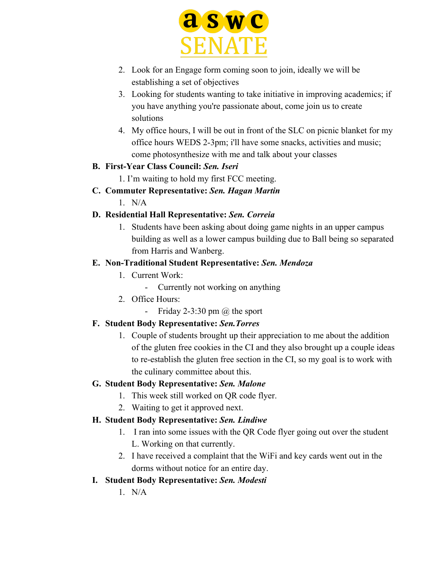

- 2. Look for an Engage form coming soon to join, ideally we will be establishing a set of objectives
- 3. Looking for students wanting to take initiative in improving academics; if you have anything you're passionate about, come join us to create solutions
- 4. My office hours, I will be out in front of the SLC on picnic blanket for my office hours WEDS 2-3pm; i'll have some snacks, activities and music; come photosynthesize with me and talk about your classes

#### **B. First-Year Class Council:** *Sen. Iseri*

- 1. I'm waiting to hold my first FCC meeting.
- **C. Commuter Representative:** *Sen. Hagan Martin*
	- $1$  N/A

### **D. Residential Hall Representative:** *Sen. Correia*

1. Students have been asking about doing game nights in an upper campus building as well as a lower campus building due to Ball being so separated from Harris and Wanberg.

#### **E. Non-Traditional Student Representative:** *Sen. Mendoza*

- 1. Current Work:
	- Currently not working on anything
- 2. Office Hours:
	- Friday 2-3:30 pm  $@$  the sport

### **F. Student Body Representative:** *Sen.Torres*

1. Couple of students brought up their appreciation to me about the addition of the gluten free cookies in the CI and they also brought up a couple ideas to re-establish the gluten free section in the CI, so my goal is to work with the culinary committee about this.

### **G. Student Body Representative:** *Sen. Malone*

- 1. This week still worked on QR code flyer.
- 2. Waiting to get it approved next.

### **H. Student Body Representative:** *Sen. Lindiwe*

- 1. I ran into some issues with the QR Code flyer going out over the student L. Working on that currently.
- 2. I have received a complaint that the WiFi and key cards went out in the dorms without notice for an entire day.

### **I. Student Body Representative:** *Sen. Modesti*

 $1$  N/A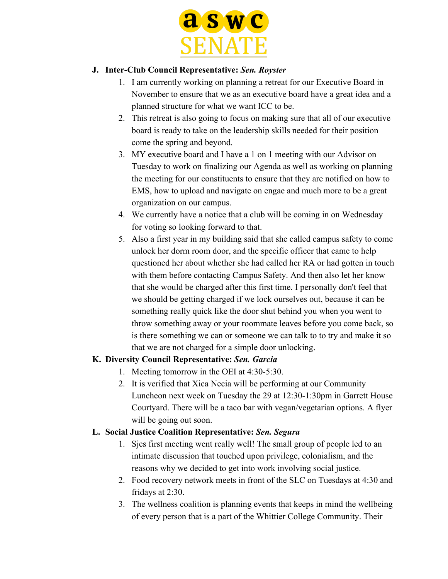

#### **J. Inter-Club Council Representative:** *Sen. Royster*

- 1. I am currently working on planning a retreat for our Executive Board in November to ensure that we as an executive board have a great idea and a planned structure for what we want ICC to be.
- 2. This retreat is also going to focus on making sure that all of our executive board is ready to take on the leadership skills needed for their position come the spring and beyond.
- 3. MY executive board and I have a 1 on 1 meeting with our Advisor on Tuesday to work on finalizing our Agenda as well as working on planning the meeting for our constituents to ensure that they are notified on how to EMS, how to upload and navigate on engae and much more to be a great organization on our campus.
- 4. We currently have a notice that a club will be coming in on Wednesday for voting so looking forward to that.
- 5. Also a first year in my building said that she called campus safety to come unlock her dorm room door, and the specific officer that came to help questioned her about whether she had called her RA or had gotten in touch with them before contacting Campus Safety. And then also let her know that she would be charged after this first time. I personally don't feel that we should be getting charged if we lock ourselves out, because it can be something really quick like the door shut behind you when you went to throw something away or your roommate leaves before you come back, so is there something we can or someone we can talk to to try and make it so that we are not charged for a simple door unlocking.

### **K. Diversity Council Representative:** *Sen. Garcia*

- 1. Meeting tomorrow in the OEI at 4:30-5:30.
- 2. It is verified that Xica Necia will be performing at our Community Luncheon next week on Tuesday the 29 at 12:30-1:30pm in Garrett House Courtyard. There will be a taco bar with vegan/vegetarian options. A flyer will be going out soon.

#### **L. Social Justice Coalition Representative:** *Sen. Segura*

- 1. Sjcs first meeting went really well! The small group of people led to an intimate discussion that touched upon privilege, colonialism, and the reasons why we decided to get into work involving social justice.
- 2. Food recovery network meets in front of the SLC on Tuesdays at 4:30 and fridays at 2:30.
- 3. The wellness coalition is planning events that keeps in mind the wellbeing of every person that is a part of the Whittier College Community. Their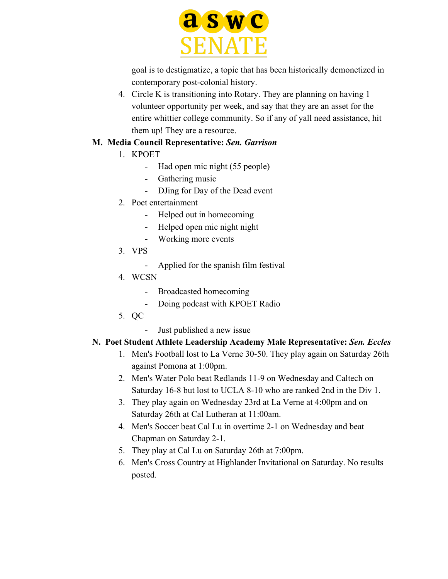

goal is to destigmatize, a topic that has been historically demonetized in contemporary post-colonial history.

4. Circle K is transitioning into Rotary. They are planning on having 1 volunteer opportunity per week, and say that they are an asset for the entire whittier college community. So if any of yall need assistance, hit them up! They are a resource.

#### **M. Media Council Representative:** *Sen. Garrison*

- 1. KPOET
	- Had open mic night (55 people)
	- Gathering music
	- DJing for Day of the Dead event
- 2. Poet entertainment
	- Helped out in homecoming
	- Helped open mic night night
	- Working more events
- 3. VPS
	- Applied for the spanish film festival
- 4. WCSN
	- Broadcasted homecoming
	- Doing podcast with KPOET Radio
- 5. QC
	- Just published a new issue

### **N. Poet Student Athlete Leadership Academy Male Representative:** *Sen. Eccles*

- 1. Men's Football lost to La Verne 30-50. They play again on Saturday 26th against Pomona at 1:00pm.
- 2. Men's Water Polo beat Redlands 11-9 on Wednesday and Caltech on Saturday 16-8 but lost to UCLA 8-10 who are ranked 2nd in the Div 1.
- 3. They play again on Wednesday 23rd at La Verne at 4:00pm and on Saturday 26th at Cal Lutheran at 11:00am.
- 4. Men's Soccer beat Cal Lu in overtime 2-1 on Wednesday and beat Chapman on Saturday 2-1.
- 5. They play at Cal Lu on Saturday 26th at 7:00pm.
- 6. Men's Cross Country at Highlander Invitational on Saturday. No results posted.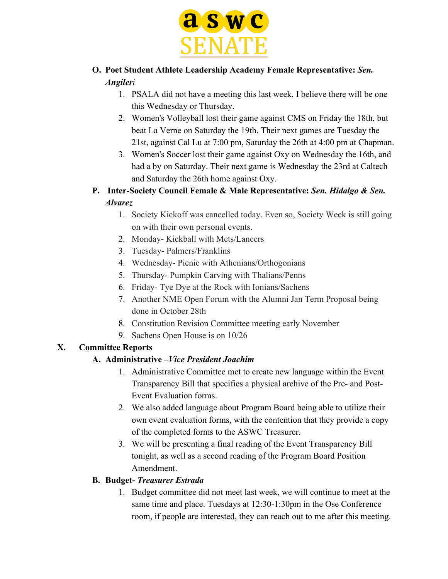

# **O. Poet Student Athlete Leadership Academy Female Representative:** *Sen. Angileri*

- 1. PSALA did not have a meeting this last week, I believe there will be one this Wednesday or Thursday.
- 2. Women's Volleyball lost their game against CMS on Friday the 18th, but beat La Verne on Saturday the 19th. Their next games are Tuesday the 21st, against Cal Lu at 7:00 pm, Saturday the 26th at 4:00 pm at Chapman.
- 3. Women's Soccer lost their game against Oxy on Wednesday the 16th, and had a by on Saturday. Their next game is Wednesday the 23rd at Caltech and Saturday the 26th home against Oxy.
- **P. Inter-Society Council Female & Male Representative:** *Sen. Hidalgo & Sen. Alvarez*
	- 1. Society Kickoff was cancelled today. Even so, Society Week is still going on with their own personal events.
	- 2. Monday- Kickball with Mets/Lancers
	- 3. Tuesday- Palmers/Franklins
	- 4. Wednesday- Picnic with Athenians/Orthogonians
	- 5. Thursday- Pumpkin Carving with Thalians/Penns
	- 6. Friday- Tye Dye at the Rock with Ionians/Sachens
	- 7. Another NME Open Forum with the Alumni Jan Term Proposal being done in October 28th
	- 8. Constitution Revision Committee meeting early November
	- 9. Sachens Open House is on 10/26

# **X. Committee Reports**

### **A. Administrative –***Vice President Joachim*

- 1. Administrative Committee met to create new language within the Event Transparency Bill that specifies a physical archive of the Pre- and Post-Event Evaluation forms.
- 2. We also added language about Program Board being able to utilize their own event evaluation forms, with the contention that they provide a copy of the completed forms to the ASWC Treasurer.
- 3. We will be presenting a final reading of the Event Transparency Bill tonight, as well as a second reading of the Program Board Position Amendment.

### **B. Budget-** *Treasurer Estrada*

1. Budget committee did not meet last week, we will continue to meet at the same time and place. Tuesdays at 12:30-1:30pm in the Ose Conference room, if people are interested, they can reach out to me after this meeting.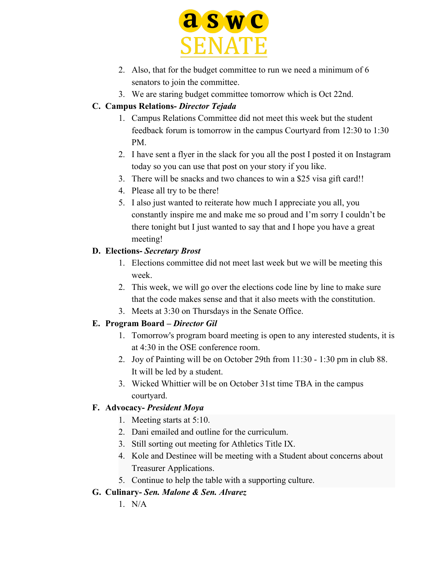

- 2. Also, that for the budget committee to run we need a minimum of 6 senators to join the committee.
- 3. We are staring budget committee tomorrow which is Oct 22nd.

### **C. Campus Relations-** *Director Tejada*

- 1. Campus Relations Committee did not meet this week but the student feedback forum is tomorrow in the campus Courtyard from 12:30 to 1:30 PM.
- 2. I have sent a flyer in the slack for you all the post I posted it on Instagram today so you can use that post on your story if you like.
- 3. There will be snacks and two chances to win a \$25 visa gift card!!
- 4. Please all try to be there!
- 5. I also just wanted to reiterate how much I appreciate you all, you constantly inspire me and make me so proud and I'm sorry I couldn't be there tonight but I just wanted to say that and I hope you have a great meeting!

### **D. Elections-** *Secretary Brost*

- 1. Elections committee did not meet last week but we will be meeting this week.
- 2. This week, we will go over the elections code line by line to make sure that the code makes sense and that it also meets with the constitution.
- 3. Meets at 3:30 on Thursdays in the Senate Office.

# **E. Program Board –** *Director Gil*

- 1. Tomorrow's program board meeting is open to any interested students, it is at 4:30 in the OSE conference room.
- 2. Joy of Painting will be on October 29th from 11:30 1:30 pm in club 88. It will be led by a student.
- 3. Wicked Whittier will be on October 31st time TBA in the campus courtyard.

# **F. Advocacy-** *President Moya*

- 1. Meeting starts at 5:10.
- 2. Dani emailed and outline for the curriculum.
- 3. Still sorting out meeting for Athletics Title IX.
- 4. Kole and Destinee will be meeting with a Student about concerns about Treasurer Applications.
- 5. Continue to help the table with a supporting culture.

# **G. Culinary-** *Sen. Malone & Sen. Alvarez*

 $1$  N/A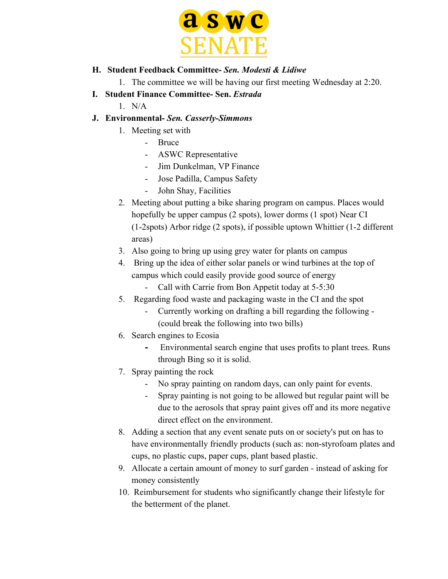

#### **H. Student Feedback Committee-** *Sen. Modesti & Lidiwe*

1. The committee we will be having our first meeting Wednesday at 2:20.

- **I. Student Finance Committee- Sen.** *Estrada*
	- $1$  N/A
- **J. Environmental-** *Sen. Casserly-Simmons*
	- 1. Meeting set with
		- Bruce
		- ASWC Representative
		- Jim Dunkelman, VP Finance
		- Jose Padilla, Campus Safety
		- John Shay, Facilities
	- 2. Meeting about putting a bike sharing program on campus. Places would hopefully be upper campus (2 spots), lower dorms (1 spot) Near CI (1-2spots) Arbor ridge (2 spots), if possible uptown Whittier (1-2 different areas)
	- 3. Also going to bring up using grey water for plants on campus
	- 4. Bring up the idea of either solar panels or wind turbines at the top of campus which could easily provide good source of energy
		- Call with Carrie from Bon Appetit today at 5-5:30
	- 5. Regarding food waste and packaging waste in the CI and the spot
		- Currently working on drafting a bill regarding the following (could break the following into two bills)
	- 6. Search engines to Ecosia
		- **-** Environmental search engine that uses profits to plant trees. Runs through Bing so it is solid.
	- 7. Spray painting the rock
		- No spray painting on random days, can only paint for events.
		- Spray painting is not going to be allowed but regular paint will be due to the aerosols that spray paint gives off and its more negative direct effect on the environment.
	- 8. Adding a section that any event senate puts on or society's put on has to have environmentally friendly products (such as: non-styrofoam plates and cups, no plastic cups, paper cups, plant based plastic.
	- 9. Allocate a certain amount of money to surf garden instead of asking for money consistently
	- 10. Reimbursement for students who significantly change their lifestyle for the betterment of the planet.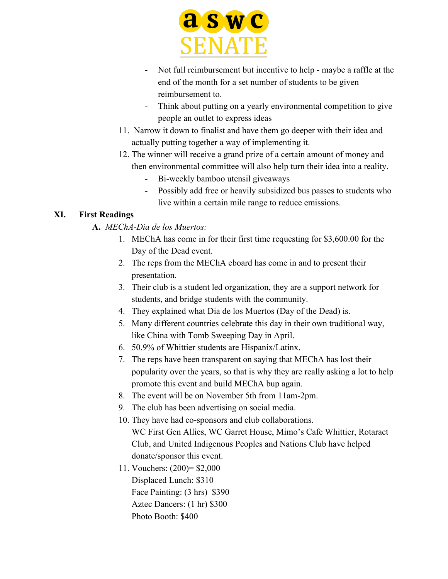

- Not full reimbursement but incentive to help maybe a raffle at the end of the month for a set number of students to be given reimbursement to.
- Think about putting on a yearly environmental competition to give people an outlet to express ideas
- 11. Narrow it down to finalist and have them go deeper with their idea and actually putting together a way of implementing it.
- 12. The winner will receive a grand prize of a certain amount of money and then environmental committee will also help turn their idea into a reality.
	- Bi-weekly bamboo utensil giveaways
	- Possibly add free or heavily subsidized bus passes to students who live within a certain mile range to reduce emissions.

# **XI. First Readings**

- **A.** *MEChA-Dia de los Muertos:*
	- 1. MEChA has come in for their first time requesting for \$3,600.00 for the Day of the Dead event.
	- 2. The reps from the MEChA eboard has come in and to present their presentation.
	- 3. Their club is a student led organization, they are a support network for students, and bridge students with the community.
	- 4. They explained what Dia de los Muertos (Day of the Dead) is.
	- 5. Many different countries celebrate this day in their own traditional way, like China with Tomb Sweeping Day in April.
	- 6. 50.9% of Whittier students are Hispanix/Latinx.
	- 7. The reps have been transparent on saying that MEChA has lost their popularity over the years, so that is why they are really asking a lot to help promote this event and build MEChA bup again.
	- 8. The event will be on November 5th from 11am-2pm.
	- 9. The club has been advertising on social media.
	- 10. They have had co-sponsors and club collaborations. WC First Gen Allies, WC Garret House, Mimo's Cafe Whittier, Rotaract Club, and United Indigenous Peoples and Nations Club have helped donate/sponsor this event.
	- 11. Vouchers: (200)= \$2,000 Displaced Lunch: \$310 Face Painting: (3 hrs) \$390 Aztec Dancers: (1 hr) \$300 Photo Booth: \$400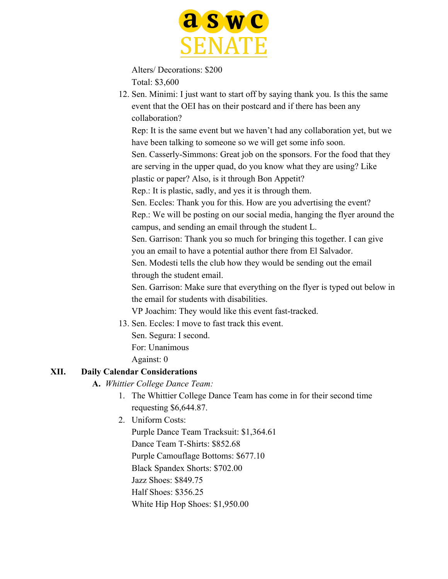

Alters/ Decorations: \$200 Total: \$3,600

12. Sen. Minimi: I just want to start off by saying thank you. Is this the same event that the OEI has on their postcard and if there has been any collaboration?

Rep: It is the same event but we haven't had any collaboration yet, but we have been talking to someone so we will get some info soon.

Sen. Casserly-Simmons: Great job on the sponsors. For the food that they are serving in the upper quad, do you know what they are using? Like plastic or paper? Also, is it through Bon Appetit?

Rep.: It is plastic, sadly, and yes it is through them.

Sen. Eccles: Thank you for this. How are you advertising the event? Rep.: We will be posting on our social media, hanging the flyer around the campus, and sending an email through the student L.

Sen. Garrison: Thank you so much for bringing this together. I can give you an email to have a potential author there from El Salvador.

Sen. Modesti tells the club how they would be sending out the email through the student email.

Sen. Garrison: Make sure that everything on the flyer is typed out below in the email for students with disabilities.

VP Joachim: They would like this event fast-tracked.

13. Sen. Eccles: I move to fast track this event.

Sen. Segura: I second.

For: Unanimous

Against: 0

# **XII. Daily Calendar Considerations**

# **A.** *Whittier College Dance Team:*

- 1. The Whittier College Dance Team has come in for their second time requesting \$6,644.87.
- 2. Uniform Costs:

Purple Dance Team Tracksuit: \$1,364.61 Dance Team T-Shirts: \$852.68 Purple Camouflage Bottoms: \$677.10 Black Spandex Shorts: \$702.00 Jazz Shoes: \$849.75 Half Shoes: \$356.25 White Hip Hop Shoes: \$1,950.00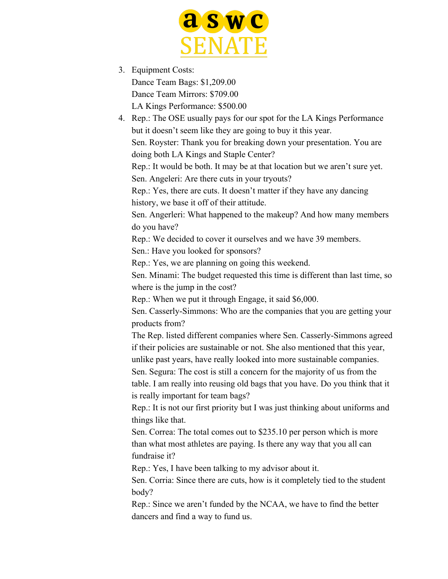

3. Equipment Costs: Dance Team Bags: \$1,209.00 Dance Team Mirrors: \$709.00 LA Kings Performance: \$500.00

4. Rep.: The OSE usually pays for our spot for the LA Kings Performance but it doesn't seem like they are going to buy it this year. Sen. Royster: Thank you for breaking down your presentation. You are doing both LA Kings and Staple Center? Rep.: It would be both. It may be at that location but we aren't sure yet. Sen. Angeleri: Are there cuts in your tryouts? Rep.: Yes, there are cuts. It doesn't matter if they have any dancing history, we base it off of their attitude. Sen. Angerleri: What happened to the makeup? And how many members do you have? Rep.: We decided to cover it ourselves and we have 39 members. Sen.: Have you looked for sponsors? Rep.: Yes, we are planning on going this weekend. Sen. Minami: The budget requested this time is different than last time, so where is the jump in the cost? Rep.: When we put it through Engage, it said \$6,000. Sen. Casserly-Simmons: Who are the companies that you are getting your products from? The Rep. listed different companies where Sen. Casserly-Simmons agreed if their policies are sustainable or not. She also mentioned that this year, unlike past years, have really looked into more sustainable companies. Sen. Segura: The cost is still a concern for the majority of us from the table. I am really into reusing old bags that you have. Do you think that it is really important for team bags? Rep.: It is not our first priority but I was just thinking about uniforms and things like that. Sen. Correa: The total comes out to \$235.10 per person which is more than what most athletes are paying. Is there any way that you all can fundraise it? Rep.: Yes, I have been talking to my advisor about it. Sen. Corria: Since there are cuts, how is it completely tied to the student body? Rep.: Since we aren't funded by the NCAA, we have to find the better

dancers and find a way to fund us.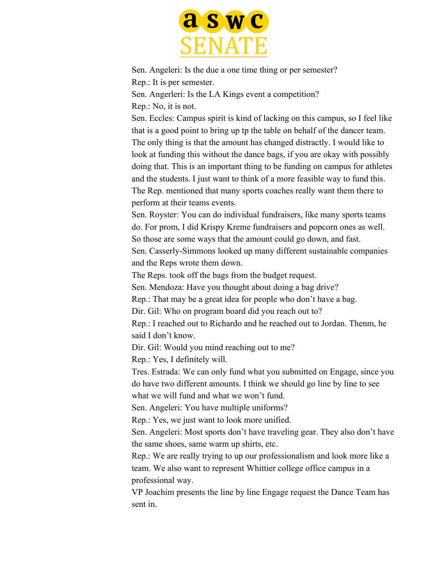

Sen. Angeleri: Is the due a one time thing or per semester? Rep.: It is per semester.

Sen. Angerleri: Is the LA Kings event a competition?

Rep.: No, it is not.

Sen. Eccles: Campus spirit is kind of lacking on this campus, so I feel like that is a good point to bring up tp the table on behalf of the dancer team. The only thing is that the amount has changed distractly. I would like to look at funding this without the dance bags, if you are okay with possibly doing that. This is an important thing to be funding on campus for athletes and the students. I just want to think of a more feasible way to fund this. The Rep. mentioned that many sports coaches really want them there to perform at their teams events.

Sen. Royster: You can do individual fundraisers, like many sports teams do. For prom, I did Krispy Kreme fundraisers and popcorn ones as well. So those are some ways that the amount could go down, and fast.

Sen. Casserly-Simmons looked up many different sustainable companies and the Reps wrote them down.

The Reps. took off the bags from the budget request.

Sen. Mendoza: Have you thought about doing a bag drive?

Rep.: That may be a great idea for people who don't have a bag.

Dir. Gil: Who on program board did you reach out to?

Rep.: I reached out to Richardo and he reached out to Jordan. Thenm, he said I don't know.

Dir. Gil: Would you mind reaching out to me?

Rep.: Yes, I definitely will.

Tres. Estrada: We can only fund what you submitted on Engage, since you do have two different amounts. I think we should go line by line to see what we will fund and what we won't fund.

Sen. Angeleri: You have multiple uniforms?

Rep.: Yes, we just want to look more unified.

Sen. Angeleri: Most sports don't have traveling gear. They also don't have the same shoes, same warm up shirts, etc.

Rep.: We are really trying to up our professionalism and look more like a team. We also want to represent Whittier college office campus in a professional way.

VP Joachim presents the line by line Engage request the Dance Team has sent in.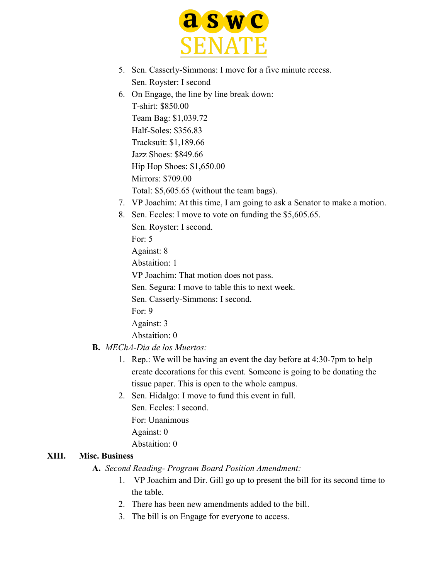

- 5. Sen. Casserly-Simmons: I move for a five minute recess. Sen. Royster: I second
- 6. On Engage, the line by line break down: T-shirt: \$850.00 Team Bag: \$1,039.72 Half-Soles: \$356.83 Tracksuit: \$1,189.66 Jazz Shoes: \$849.66 Hip Hop Shoes: \$1,650.00 Mirrors: \$709.00 Total: \$5,605.65 (without the team bags).
- 7. VP Joachim: At this time, I am going to ask a Senator to make a motion.
- 8. Sen. Eccles: I move to vote on funding the \$5,605.65.

Sen. Royster: I second.

For: 5

Against: 8

Abstaition: 1

VP Joachim: That motion does not pass.

Sen. Segura: I move to table this to next week.

Sen. Casserly-Simmons: I second.

For: 9

Against: 3

Abstaition: 0

#### **B.** *MEChA-Dia de los Muertos:*

- 1. Rep.: We will be having an event the day before at 4:30-7pm to help create decorations for this event. Someone is going to be donating the tissue paper. This is open to the whole campus.
- 2. Sen. Hidalgo: I move to fund this event in full.

Sen. Eccles: I second.

- For: Unanimous
- Against: 0

Abstaition: 0

### **XIII. Misc. Business**

**A.** *Second Reading- Program Board Position Amendment:*

- 1. VP Joachim and Dir. Gill go up to present the bill for its second time to the table.
- 2. There has been new amendments added to the bill.
- 3. The bill is on Engage for everyone to access.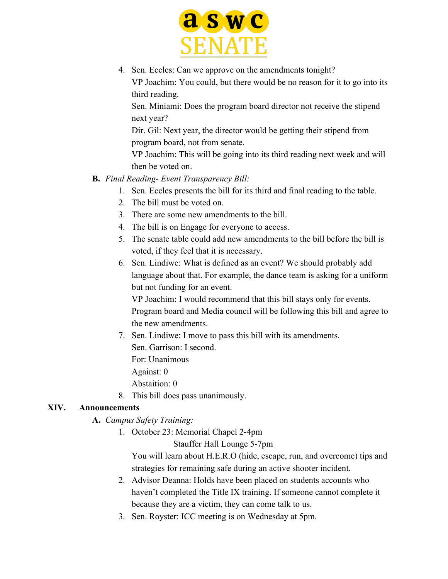

4. Sen. Eccles: Can we approve on the amendments tonight? VP Joachim: You could, but there would be no reason for it to go into its third reading.

Sen. Miniami: Does the program board director not receive the stipend next year?

Dir. Gil: Next year, the director would be getting their stipend from program board, not from senate.

VP Joachim: This will be going into its third reading next week and will then be voted on.

- **B.** *Final Reading- Event Transparency Bill:*
	- 1. Sen. Eccles presents the bill for its third and final reading to the table.
	- 2. The bill must be voted on.
	- 3. There are some new amendments to the bill.
	- 4. The bill is on Engage for everyone to access.
	- 5. The senate table could add new amendments to the bill before the bill is voted, if they feel that it is necessary.
	- 6. Sen. Lindiwe: What is defined as an event? We should probably add language about that. For example, the dance team is asking for a uniform but not funding for an event.

VP Joachim: I would recommend that this bill stays only for events. Program board and Media council will be following this bill and agree to the new amendments.

7. Sen. Lindiwe: I move to pass this bill with its amendments.

Sen. Garrison: I second.

For: Unanimous

Against: 0

Abstaition: 0

8. This bill does pass unanimously.

### **XIV. Announcements**

### **A.** *Campus Safety Training:*

1. October 23: Memorial Chapel 2-4pm

Stauffer Hall Lounge 5-7pm

You will learn about H.E.R.O (hide, escape, run, and overcome) tips and strategies for remaining safe during an active shooter incident.

- 2. Advisor Deanna: Holds have been placed on students accounts who haven't completed the Title IX training. If someone cannot complete it because they are a victim, they can come talk to us.
- 3. Sen. Royster: ICC meeting is on Wednesday at 5pm.